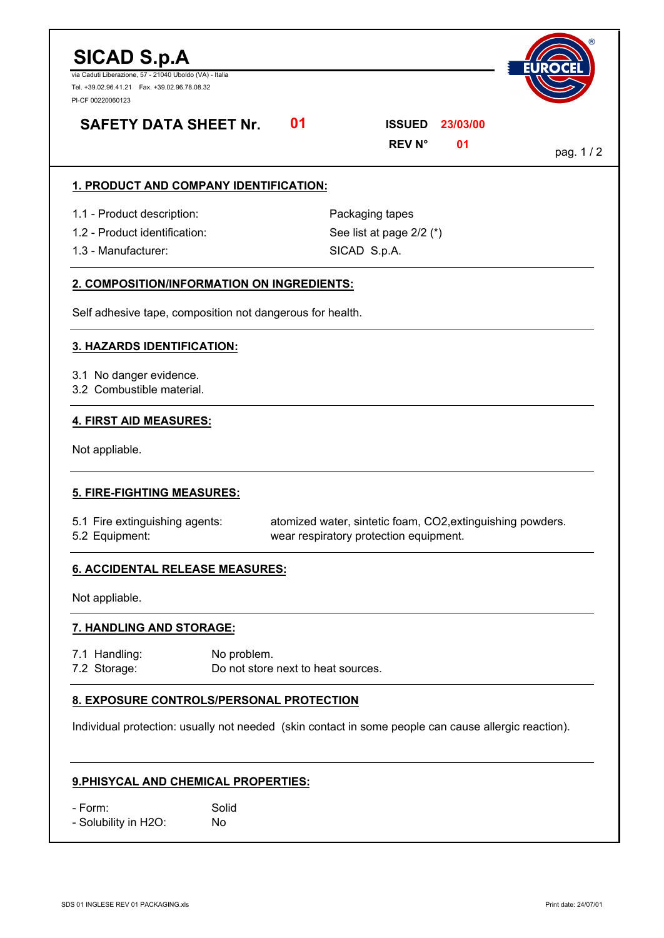# **SICAD S.p.A**

via Caduti Liberazione, 57 - 21040 Uboldo (VA) - Italia Tel. +39.02.96.41.21 Fax. +39.02.96.78.08.32 PI-CF 00220060123



# **SAFETY DATA SHEET Nr.**

| <b>SAFETY DATA SHEET Nr.</b>                                                                         |             | 01                                                                                                   | <b>ISSUED</b><br><b>REV N°</b>                              | 23/03/00<br>01 | pag. 1/2 |  |
|------------------------------------------------------------------------------------------------------|-------------|------------------------------------------------------------------------------------------------------|-------------------------------------------------------------|----------------|----------|--|
| 1. PRODUCT AND COMPANY IDENTIFICATION:                                                               |             |                                                                                                      |                                                             |                |          |  |
| 1.1 - Product description:<br>1.2 - Product identification:<br>1.3 - Manufacturer:                   |             |                                                                                                      | Packaging tapes<br>See list at page 2/2 (*)<br>SICAD S.p.A. |                |          |  |
| 2. COMPOSITION/INFORMATION ON INGREDIENTS:                                                           |             |                                                                                                      |                                                             |                |          |  |
| Self adhesive tape, composition not dangerous for health.                                            |             |                                                                                                      |                                                             |                |          |  |
| <b>3. HAZARDS IDENTIFICATION:</b>                                                                    |             |                                                                                                      |                                                             |                |          |  |
| 3.1 No danger evidence.<br>3.2 Combustible material.                                                 |             |                                                                                                      |                                                             |                |          |  |
| 4. FIRST AID MEASURES:                                                                               |             |                                                                                                      |                                                             |                |          |  |
| Not appliable.                                                                                       |             |                                                                                                      |                                                             |                |          |  |
| 5. FIRE-FIGHTING MEASURES:                                                                           |             |                                                                                                      |                                                             |                |          |  |
| 5.1 Fire extinguishing agents:<br>5.2 Equipment:                                                     |             | atomized water, sintetic foam, CO2, extinguishing powders.<br>wear respiratory protection equipment. |                                                             |                |          |  |
| <b>6. ACCIDENTAL RELEASE MEASURES:</b>                                                               |             |                                                                                                      |                                                             |                |          |  |
| Not appliable.                                                                                       |             |                                                                                                      |                                                             |                |          |  |
| 7. HANDLING AND STORAGE:                                                                             |             |                                                                                                      |                                                             |                |          |  |
| 7.1 Handling:<br>No problem.<br>7.2 Storage:<br>Do not store next to heat sources.                   |             |                                                                                                      |                                                             |                |          |  |
| 8. EXPOSURE CONTROLS/PERSONAL PROTECTION                                                             |             |                                                                                                      |                                                             |                |          |  |
| Individual protection: usually not needed (skin contact in some people can cause allergic reaction). |             |                                                                                                      |                                                             |                |          |  |
| 9. PHISYCAL AND CHEMICAL PROPERTIES:                                                                 |             |                                                                                                      |                                                             |                |          |  |
| - Form:<br>- Solubility in H2O:                                                                      | Solid<br>No |                                                                                                      |                                                             |                |          |  |